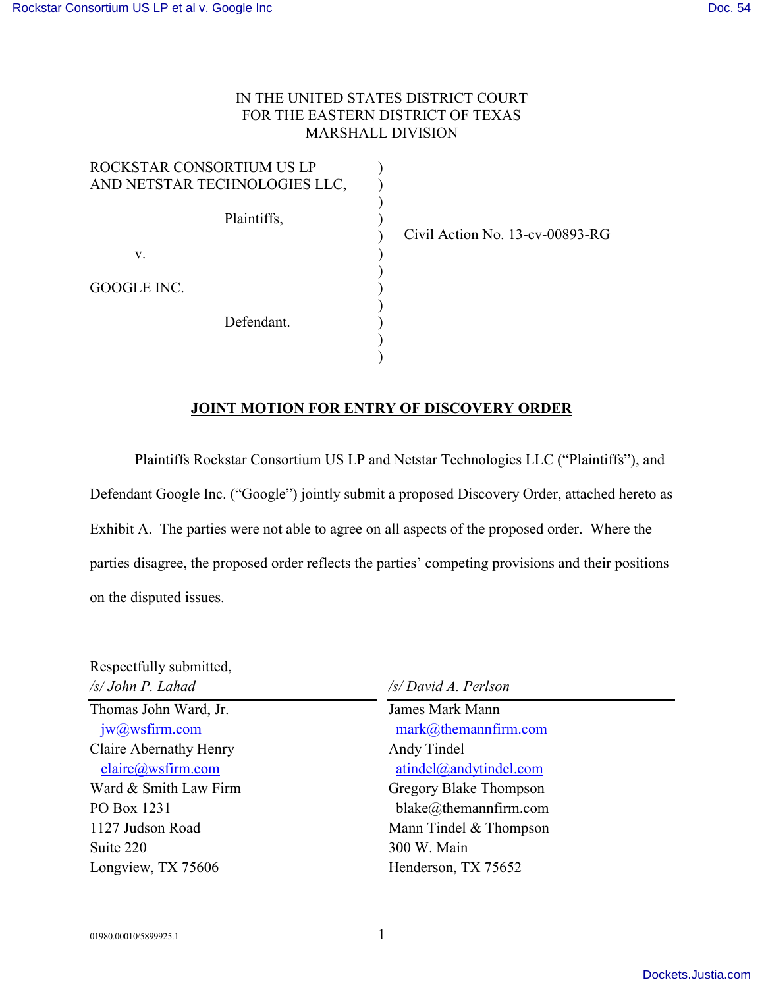### IN THE UNITED STATES DISTRICT COURT FOR THE EASTERN DISTRICT OF TEXAS MARSHALL DIVISION

| ROCKSTAR CONSORTIUM US LP<br>AND NETSTAR TECHNOLOGIES LLC, |  |
|------------------------------------------------------------|--|
| Plaintiffs,                                                |  |
| V.                                                         |  |
| GOOGLE INC.                                                |  |
| Defendant.                                                 |  |
|                                                            |  |

Civil Action No. 13-cv-00893-RG

### **JOINT MOTION FOR ENTRY OF DISCOVERY ORDER**

Plaintiffs Rockstar Consortium US LP and Netstar Technologies LLC ("Plaintiffs"), and Defendant Google Inc. ("Google") jointly submit a proposed Discovery Order, attached hereto as Exhibit A. The parties were not able to agree on all aspects of the proposed order. Where the parties disagree, the proposed order reflects the parties' competing provisions and their positions on the disputed issues.

| /s/ David A. Perlson                                |  |
|-----------------------------------------------------|--|
| James Mark Mann<br>$mark@$ themannfirm.com          |  |
| Andy Tindel<br>$atindel$ <i>(a)</i> and ytindel.com |  |
| Gregory Blake Thompson                              |  |
| $black@$ ;themannfirm.com                           |  |
| Mann Tindel & Thompson                              |  |
| 300 W. Main                                         |  |
| Henderson, TX 75652                                 |  |
|                                                     |  |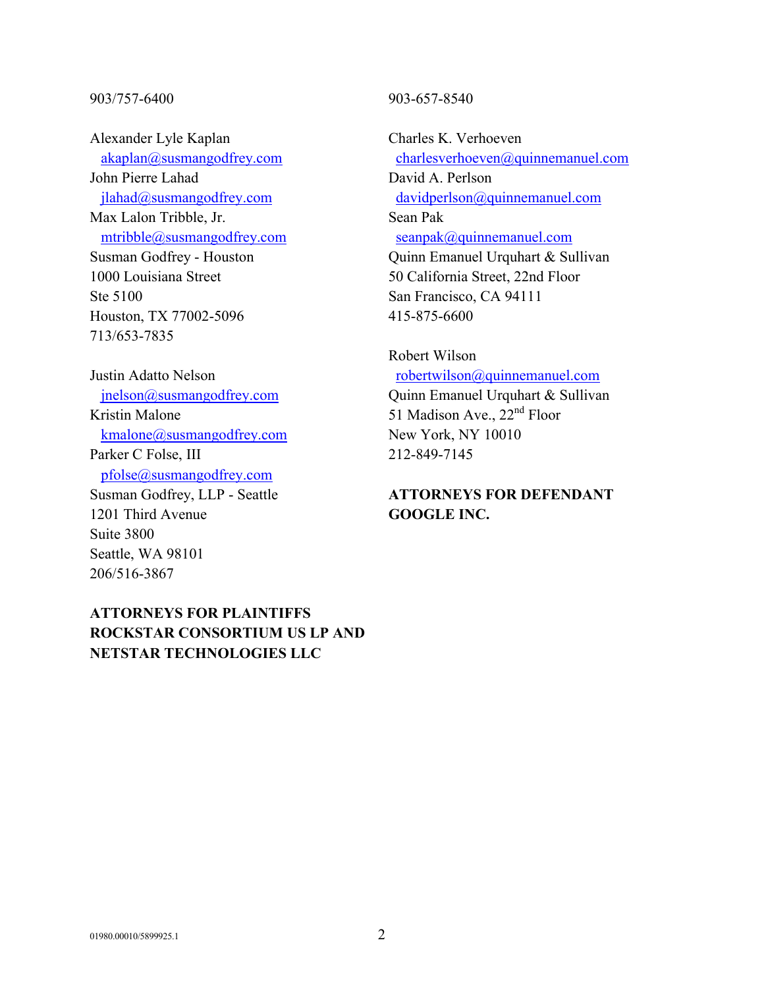#### 903/757-6400

Alexander Lyle Kaplan [akaplan@susmangodfrey.com](mailto:akaplan@susmangodfrey.com) John Pierre Lahad [jlahad@susmangodfrey.com](mailto:jlahad@susmangodfrey.com) Max Lalon Tribble, Jr. [mtribble@susmangodfrey.com](mailto:mtribble@susmangodfrey.com) Susman Godfrey - Houston 1000 Louisiana Street Ste 5100 Houston, TX 77002-5096 713/653-7835

Justin Adatto Nelson [jnelson@susmangodfrey.com](mailto:jnelson@susmangodfrey.com) Kristin Malone [kmalone@susmangodfrey.com](mailto:kmalone@susmangodfrey.com) Parker C Folse, III [pfolse@susmangodfrey.com](mailto:pfolse@susmangodfrey.com) Susman Godfrey, LLP - Seattle 1201 Third Avenue Suite 3800 Seattle, WA 98101 206/516-3867

# **ATTORNEYS FOR PLAINTIFFS ROCKSTAR CONSORTIUM US LP AND NETSTAR TECHNOLOGIES LLC**

#### 903-657-8540

Charles K. Verhoeven [charlesverhoeven@quinnemanuel.com](mailto:charlesverhoeven@quinnemanuel.com) David A. Perlson [davidperlson@quinnemanuel.com](mailto:davidperlson@quinnemanuel.com) Sean Pak [seanpak@quinnemanuel.com](mailto:seanpak@quinnemanuel.com) Quinn Emanuel Urquhart & Sullivan 50 California Street, 22nd Floor San Francisco, CA 94111 415-875-6600

# Robert Wilson [robertwilson@quinnemanuel.com](mailto:robertwilson@quinnemanuel.com) Quinn Emanuel Urquhart & Sullivan

51 Madison Ave., 22<sup>nd</sup> Floor New York, NY 10010 212-849-7145

# **ATTORNEYS FOR DEFENDANT GOOGLE INC.**